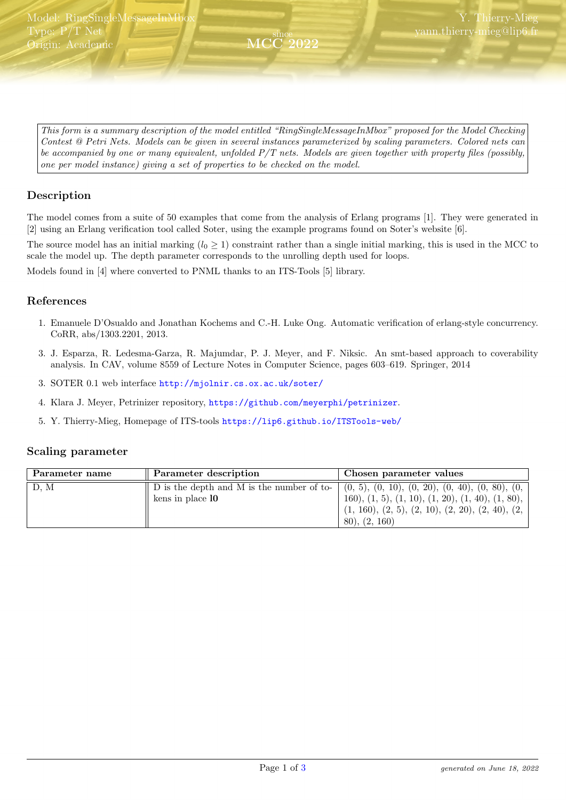<span id="page-0-0"></span>This form is a summary description of the model entitled "RingSingleMessageInMbox" proposed for the Model Checking Contest @ Petri Nets. Models can be given in several instances parameterized by scaling parameters. Colored nets can be accompanied by one or many equivalent, unfolded  $P/T$  nets. Models are given together with property files (possibly, one per model instance) giving a set of properties to be checked on the model.

since MCC 2022

# Description

The model comes from a suite of 50 examples that come from the analysis of Erlang programs [1]. They were generated in [2] using an Erlang verification tool called Soter, using the example programs found on Soter's website [6].

The source model has an initial marking  $(l_0 \geq 1)$  constraint rather than a single initial marking, this is used in the MCC to scale the model up. The depth parameter corresponds to the unrolling depth used for loops.

Models found in [4] where converted to PNML thanks to an ITS-Tools [5] library.

#### References

- 1. Emanuele D'Osualdo and Jonathan Kochems and C.-H. Luke Ong. Automatic verification of erlang-style concurrency. CoRR, abs/1303.2201, 2013.
- 3. J. Esparza, R. Ledesma-Garza, R. Majumdar, P. J. Meyer, and F. Niksic. An smt-based approach to coverability analysis. In CAV, volume 8559 of Lecture Notes in Computer Science, pages 603–619. Springer, 2014
- 3. SOTER 0.1 web interface <http://mjolnir.cs.ox.ac.uk/soter/>
- 4. Klara J. Meyer, Petrinizer repository, <https://github.com/meyerphi/petrinizer>.
- 5. Y. Thierry-Mieg, Homepage of ITS-tools <https://lip6.github.io/ITSTools-web/>

#### Scaling parameter

| Parameter name | Parameter description                                                                                                            | Chosen parameter values                                                                                                                  |
|----------------|----------------------------------------------------------------------------------------------------------------------------------|------------------------------------------------------------------------------------------------------------------------------------------|
| D, M           | $\parallel$ D is the depth and M is the number of to- $\mid$ (0, 5), (0, 10), (0, 20), (0, 40), (0, 80), (0,<br>kens in place 10 | 160), $(1, 5)$ , $(1, 10)$ , $(1, 20)$ , $(1, 40)$ , $(1, 80)$ ,<br>$(1, 160), (2, 5), (2, 10), (2, 20), (2, 40), (2,$<br>(80), (2, 160) |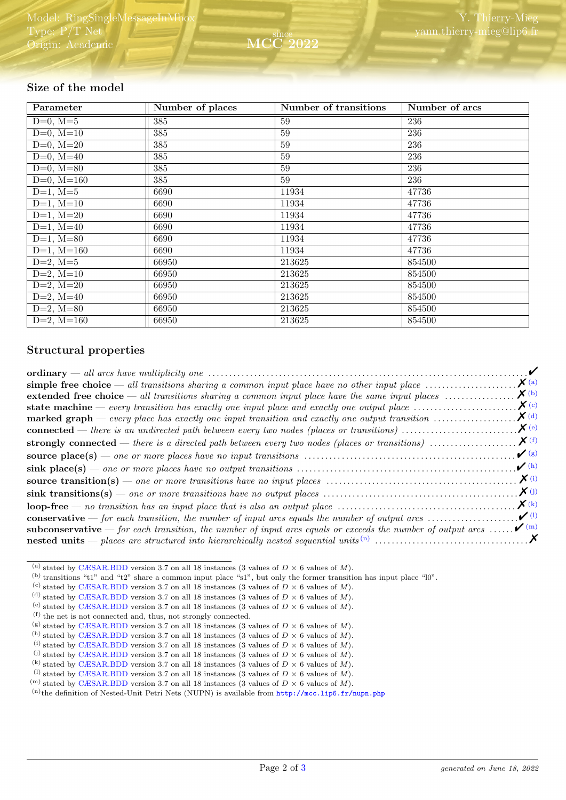# Size of the model

| Parameter                 | Number of places | Number of transitions | Number of arcs |
|---------------------------|------------------|-----------------------|----------------|
| $D=0, M=5$                | 385              | 59                    | 236            |
| $D=0, M=10$               | 385              | 59                    | 236            |
| $D=0, M=20$               | 385              | 59                    | 236            |
| $D=0$ , $M=40$            | 385              | 59                    | 236            |
| $D=0$ , $M=80$            | 385              | 59                    | 236            |
| $D=0$ , $M=160$           | 385              | 59                    | 236            |
| $D=1, M=5$                | 6690             | 11934                 | 47736          |
| $D=1, M=10$               | 6690             | 11934                 | 47736          |
| $D=1, M=20$               | 6690             | 11934                 | 47736          |
| $D=1, M=40$               | 6690             | 11934                 | 47736          |
| $D=1$ , $\overline{M=80}$ | 6690             | 11934                 | 47736          |
| $D=1, M=160$              | 6690             | 11934                 | 47736          |
| $D=2, M=5$                | 66950            | 213625                | 854500         |
| $D=2, M=10$               | 66950            | 213625                | 854500         |
| $D=2, M=20$               | 66950            | 213625                | 854500         |
| $D=2, M=40$               | 66950            | 213625                | 854500         |
| $D=2, M=80$               | 66950            | 213625                | 854500         |
| $D=2, M=160$              | 66950            | 213625                | 854500         |

### Structural properties

|                                                                                                                                        | $\mathbf{X}$ (a)                  |
|----------------------------------------------------------------------------------------------------------------------------------------|-----------------------------------|
| extended free choice — all transitions sharing a common input place have the same input places $\dots\dots\dots\dots\dots$             | $\boldsymbol{X}$ (b)              |
| <b>state machine</b> — every transition has exactly one input place and exactly one output place $\dots\dots\dots\dots\dots\dots\dots$ | $\chi$ (c)                        |
| <b>marked graph</b> — every place has exactly one input transition and exactly one output transition $\dots\dots\dots\dots\dots\dots$  | $\boldsymbol{X}$ (d)              |
| <b>connected</b> — there is an undirected path between every two nodes (places or transitions) $\dots\dots\dots\dots\dots\dots\dots$   | $\chi$ (e)                        |
|                                                                                                                                        |                                   |
|                                                                                                                                        | $\mathcal{V}(g)$                  |
|                                                                                                                                        | $\boldsymbol{\nu}$ (h)            |
|                                                                                                                                        | $\mathbf{X}^{(i)}$                |
|                                                                                                                                        | $\boldsymbol{X}$ (j)              |
| $loop-free \t- no transition has an input place that is also an output place \t \t \t \t \t \t$                                        | $\boldsymbol{X}$ (k)              |
| <b>conservative</b> — for each transition, the number of input arcs equals the number of output arcs $\dots\dots\dots\dots\dots\dots$  | $\boldsymbol{\nu}$ <sup>(1)</sup> |
| <b>subconservative</b> — for each transition, the number of input arcs equals or exceeds the number of output arcs                     | $\boldsymbol{\mathcal{V}}^{(m)}$  |
|                                                                                                                                        |                                   |

<span id="page-1-0"></span><sup>(</sup>a) stated by [CÆSAR.BDD](http://cadp.inria.fr/man/caesar.bdd.html) version 3.7 on all 18 instances (3 values of  $D \times 6$  values of M).

<span id="page-1-1"></span><sup>(</sup>b) transitions "t1" and "t2" share a common input place "s1", but only the former transition has input place "l0".

<span id="page-1-2"></span><sup>(</sup>c) stated by [CÆSAR.BDD](http://cadp.inria.fr/man/caesar.bdd.html) version 3.7 on all 18 instances (3 values of  $D \times 6$  values of M).

<span id="page-1-3"></span><sup>(</sup>d) stated by [CÆSAR.BDD](http://cadp.inria.fr/man/caesar.bdd.html) version 3.7 on all 18 instances (3 values of  $D \times 6$  values of M).

<span id="page-1-4"></span><sup>(</sup>e) stated by [CÆSAR.BDD](http://cadp.inria.fr/man/caesar.bdd.html) version 3.7 on all 18 instances (3 values of  $D \times 6$  values of M).

<span id="page-1-5"></span><sup>(</sup>f) the net is not connected and, thus, not strongly connected.

<span id="page-1-6"></span><sup>(</sup>g) stated by [CÆSAR.BDD](http://cadp.inria.fr/man/caesar.bdd.html) version 3.7 on all 18 instances (3 values of  $D \times 6$  values of  $M$ ).

<span id="page-1-7"></span><sup>&</sup>lt;sup>(h)</sup> stated by [CÆSAR.BDD](http://cadp.inria.fr/man/caesar.bdd.html) version 3.7 on all 18 instances (3 values of  $D \times 6$  values of M).

<span id="page-1-8"></span><sup>(</sup>i) stated by [CÆSAR.BDD](http://cadp.inria.fr/man/caesar.bdd.html) version 3.7 on all 18 instances (3 values of  $D \times 6$  values of M). (i) stated by [CÆSAR.BDD](http://cadp.inria.fr/man/caesar.bdd.html) version 3.7 on all 18 instances (3 values of  $D \times 6$  values of M).

<span id="page-1-10"></span><span id="page-1-9"></span><sup>(</sup>k) stated by [CÆSAR.BDD](http://cadp.inria.fr/man/caesar.bdd.html) version 3.7 on all 18 instances (3 values of  $D \times 6$  values of M).

<span id="page-1-11"></span><sup>&</sup>lt;sup>(1)</sup> stated by [CÆSAR.BDD](http://cadp.inria.fr/man/caesar.bdd.html) version 3.7 on all 18 instances (3 values of  $D \times 6$  values of M).

<span id="page-1-12"></span><sup>&</sup>lt;sup>(m)</sup> stated by [CÆSAR.BDD](http://cadp.inria.fr/man/caesar.bdd.html) version 3.7 on all 18 instances (3 values of  $D \times 6$  values of M).

<span id="page-1-13"></span> $(n)$ the definition of Nested-Unit Petri Nets (NUPN) is available from <http://mcc.lip6.fr/nupn.php>